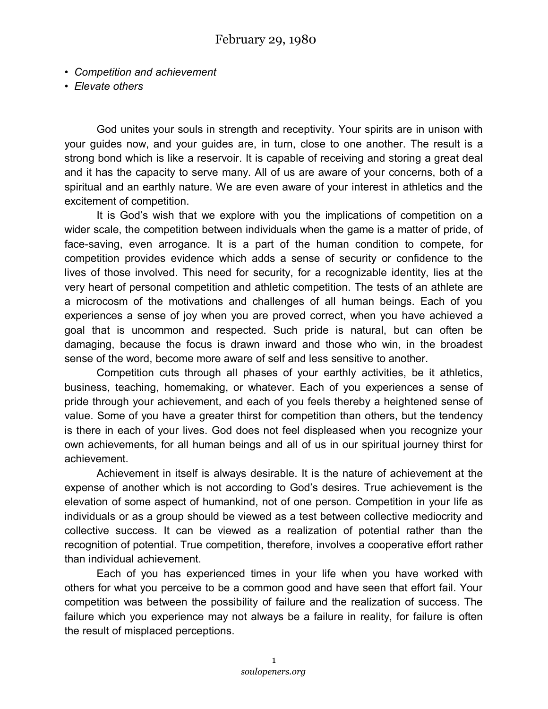- *Competition and achievement*
- *Elevate others*

God unites your souls in strength and receptivity. Your spirits are in unison with your guides now, and your guides are, in turn, close to one another. The result is a strong bond which is like a reservoir. It is capable of receiving and storing a great deal and it has the capacity to serve many. All of us are aware of your concerns, both of a spiritual and an earthly nature. We are even aware of your interest in athletics and the excitement of competition.

It is God's wish that we explore with you the implications of competition on a wider scale, the competition between individuals when the game is a matter of pride, of face-saving, even arrogance. It is a part of the human condition to compete, for competition provides evidence which adds a sense of security or confidence to the lives of those involved. This need for security, for a recognizable identity, lies at the very heart of personal competition and athletic competition. The tests of an athlete are a microcosm of the motivations and challenges of all human beings. Each of you experiences a sense of joy when you are proved correct, when you have achieved a goal that is uncommon and respected. Such pride is natural, but can often be damaging, because the focus is drawn inward and those who win, in the broadest sense of the word, become more aware of self and less sensitive to another.

Competition cuts through all phases of your earthly activities, be it athletics, business, teaching, homemaking, or whatever. Each of you experiences a sense of pride through your achievement, and each of you feels thereby a heightened sense of value. Some of you have a greater thirst for competition than others, but the tendency is there in each of your lives. God does not feel displeased when you recognize your own achievements, for all human beings and all of us in our spiritual journey thirst for achievement.

Achievement in itself is always desirable. It is the nature of achievement at the expense of another which is not according to God's desires. True achievement is the elevation of some aspect of humankind, not of one person. Competition in your life as individuals or as a group should be viewed as a test between collective mediocrity and collective success. It can be viewed as a realization of potential rather than the recognition of potential. True competition, therefore, involves a cooperative effort rather than individual achievement.

Each of you has experienced times in your life when you have worked with others for what you perceive to be a common good and have seen that effort fail. Your competition was between the possibility of failure and the realization of success. The failure which you experience may not always be a failure in reality, for failure is often the result of misplaced perceptions.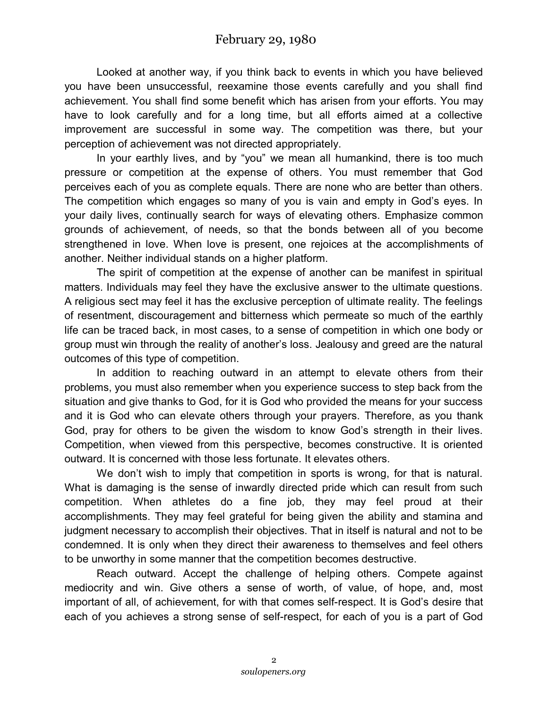Looked at another way, if you think back to events in which you have believed you have been unsuccessful, reexamine those events carefully and you shall find achievement. You shall find some benefit which has arisen from your efforts. You may have to look carefully and for a long time, but all efforts aimed at a collective improvement are successful in some way. The competition was there, but your perception of achievement was not directed appropriately.

In your earthly lives, and by "you" we mean all humankind, there is too much pressure or competition at the expense of others. You must remember that God perceives each of you as complete equals. There are none who are better than others. The competition which engages so many of you is vain and empty in God's eyes. In your daily lives, continually search for ways of elevating others. Emphasize common grounds of achievement, of needs, so that the bonds between all of you become strengthened in love. When love is present, one rejoices at the accomplishments of another. Neither individual stands on a higher platform.

The spirit of competition at the expense of another can be manifest in spiritual matters. Individuals may feel they have the exclusive answer to the ultimate questions. A religious sect may feel it has the exclusive perception of ultimate reality. The feelings of resentment, discouragement and bitterness which permeate so much of the earthly life can be traced back, in most cases, to a sense of competition in which one body or group must win through the reality of another's loss. Jealousy and greed are the natural outcomes of this type of competition.

In addition to reaching outward in an attempt to elevate others from their problems, you must also remember when you experience success to step back from the situation and give thanks to God, for it is God who provided the means for your success and it is God who can elevate others through your prayers. Therefore, as you thank God, pray for others to be given the wisdom to know God's strength in their lives. Competition, when viewed from this perspective, becomes constructive. It is oriented outward. It is concerned with those less fortunate. It elevates others.

We don't wish to imply that competition in sports is wrong, for that is natural. What is damaging is the sense of inwardly directed pride which can result from such competition. When athletes do a fine job, they may feel proud at their accomplishments. They may feel grateful for being given the ability and stamina and judgment necessary to accomplish their objectives. That in itself is natural and not to be condemned. It is only when they direct their awareness to themselves and feel others to be unworthy in some manner that the competition becomes destructive.

Reach outward. Accept the challenge of helping others. Compete against mediocrity and win. Give others a sense of worth, of value, of hope, and, most important of all, of achievement, for with that comes self-respect. It is God's desire that each of you achieves a strong sense of self-respect, for each of you is a part of God